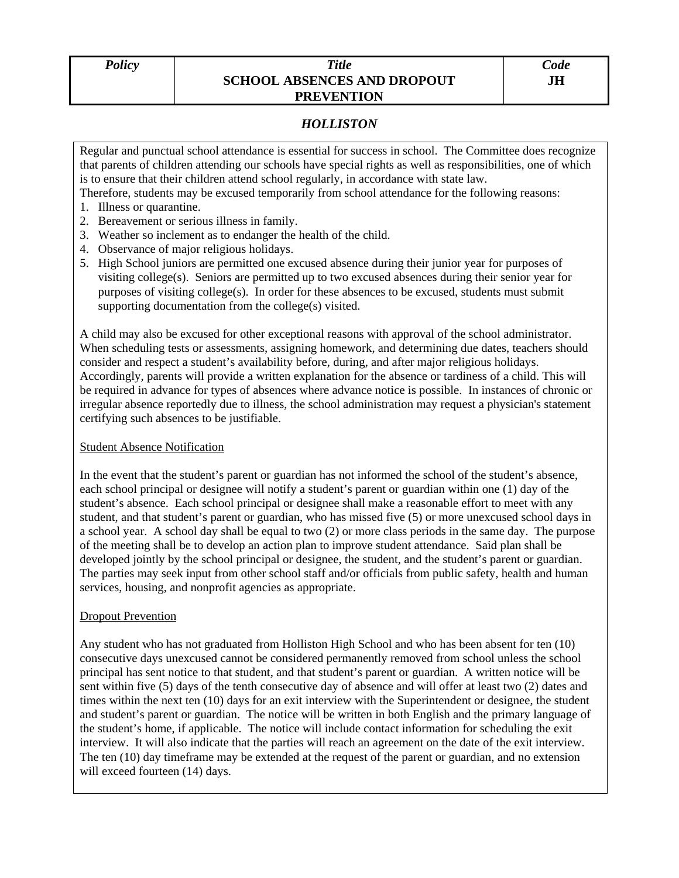## *Policy Title*  **SCHOOL ABSENCES AND DROPOUT PREVENTION**

## *HOLLISTON*

Regular and punctual school attendance is essential for success in school. The Committee does recognize that parents of children attending our schools have special rights as well as responsibilities, one of which is to ensure that their children attend school regularly, in accordance with state law.

Therefore, students may be excused temporarily from school attendance for the following reasons:

- 1. Illness or quarantine.
- 2. Bereavement or serious illness in family.
- 3. Weather so inclement as to endanger the health of the child.
- 4. Observance of major religious holidays.
- 5. High School juniors are permitted one excused absence during their junior year for purposes of visiting college(s). Seniors are permitted up to two excused absences during their senior year for purposes of visiting college(s). In order for these absences to be excused, students must submit supporting documentation from the college(s) visited.

A child may also be excused for other exceptional reasons with approval of the school administrator. When scheduling tests or assessments, assigning homework, and determining due dates, teachers should consider and respect a student's availability before, during, and after major religious holidays. Accordingly, parents will provide a written explanation for the absence or tardiness of a child. This will be required in advance for types of absences where advance notice is possible. In instances of chronic or irregular absence reportedly due to illness, the school administration may request a physician's statement certifying such absences to be justifiable.

## Student Absence Notification

In the event that the student's parent or guardian has not informed the school of the student's absence, each school principal or designee will notify a student's parent or guardian within one (1) day of the student's absence. Each school principal or designee shall make a reasonable effort to meet with any student, and that student's parent or guardian, who has missed five (5) or more unexcused school days in a school year. A school day shall be equal to two (2) or more class periods in the same day. The purpose of the meeting shall be to develop an action plan to improve student attendance. Said plan shall be developed jointly by the school principal or designee, the student, and the student's parent or guardian. The parties may seek input from other school staff and/or officials from public safety, health and human services, housing, and nonprofit agencies as appropriate.

## **Dropout Prevention**

Any student who has not graduated from Holliston High School and who has been absent for ten (10) consecutive days unexcused cannot be considered permanently removed from school unless the school principal has sent notice to that student, and that student's parent or guardian. A written notice will be sent within five (5) days of the tenth consecutive day of absence and will offer at least two (2) dates and times within the next ten (10) days for an exit interview with the Superintendent or designee, the student and student's parent or guardian. The notice will be written in both English and the primary language of the student's home, if applicable. The notice will include contact information for scheduling the exit interview. It will also indicate that the parties will reach an agreement on the date of the exit interview. The ten (10) day timeframe may be extended at the request of the parent or guardian, and no extension will exceed fourteen (14) days.